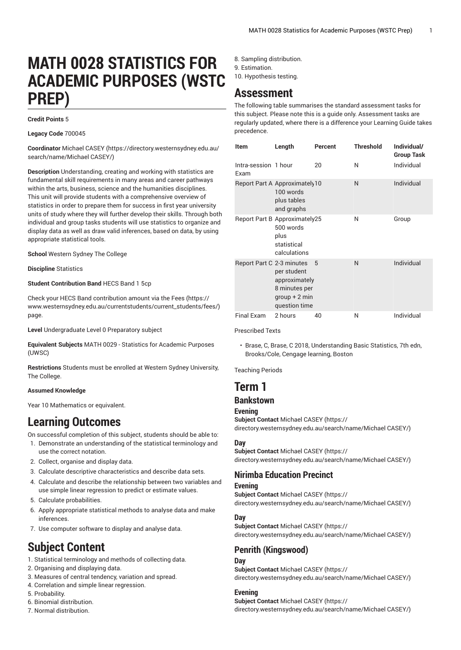# **MATH 0028 STATISTICS FOR ACADEMIC PURPOSES (WSTC PREP)**

#### **Credit Points** 5

**Legacy Code** 700045

**Coordinator** [Michael CASEY \(https://directory.westernsydney.edu.au/](https://directory.westernsydney.edu.au/search/name/Michael CASEY/) [search/name/Michael](https://directory.westernsydney.edu.au/search/name/Michael CASEY/) CASEY/)

**Description** Understanding, creating and working with statistics are fundamental skill requirements in many areas and career pathways within the arts, business, science and the humanities disciplines. This unit will provide students with a comprehensive overview of statistics in order to prepare them for success in first year university units of study where they will further develop their skills. Through both individual and group tasks students will use statistics to organize and display data as well as draw valid inferences, based on data, by using appropriate statistical tools.

**School** Western Sydney The College

**Discipline** Statistics

**Student Contribution Band** HECS Band 1 5cp

Check your HECS Band contribution amount via the [Fees \(https://](https://www.westernsydney.edu.au/currentstudents/current_students/fees/) [www.westernsydney.edu.au/currentstudents/current\\_students/fees/\)](https://www.westernsydney.edu.au/currentstudents/current_students/fees/) page.

**Level** Undergraduate Level 0 Preparatory subject

**Equivalent Subjects** [MATH](/search/?P=MATH%200029) 0029 - Statistics for Academic Purposes (UWSC)

**Restrictions** Students must be enrolled at Western Sydney University, The College.

#### **Assumed Knowledge**

Year 10 Mathematics or equivalent.

# **Learning Outcomes**

On successful completion of this subject, students should be able to:

- 1. Demonstrate an understanding of the statistical terminology and use the correct notation.
- 2. Collect, organise and display data.
- 3. Calculate descriptive characteristics and describe data sets.
- 4. Calculate and describe the relationship between two variables and use simple linear regression to predict or estimate values.
- 5. Calculate probabilities.
- 6. Apply appropriate statistical methods to analyse data and make inferences.
- 7. Use computer software to display and analyse data.

# **Subject Content**

- 1. Statistical terminology and methods of collecting data.
- 2. Organising and displaying data.
- 3. Measures of central tendency, variation and spread.
- 4. Correlation and simple linear regression.
- 5. Probability.
- 6. Binomial distribution.
- 7. Normal distribution.
- 8. Sampling distribution.
- 9. Estimation.
- 10. Hypothesis testing.

# **Assessment**

The following table summarises the standard assessment tasks for this subject. Please note this is a guide only. Assessment tasks are regularly updated, where there is a difference your Learning Guide takes precedence.

| <b>Item</b>                  | Length                                                                            | Percent | <b>Threshold</b> | Individual/<br><b>Group Task</b> |
|------------------------------|-----------------------------------------------------------------------------------|---------|------------------|----------------------------------|
| Intra-session 1 hour<br>Exam |                                                                                   | 20      | Ν                | Individual                       |
|                              | Report Part A Approximately10<br>100 words<br>plus tables<br>and graphs           |         | N                | Individual                       |
|                              | Report Part B Approximately25<br>500 words<br>plus<br>statistical<br>calculations |         | N                | Group                            |
| Report Part C 2-3 minutes    | per student<br>approximately<br>8 minutes per<br>$qroup + 2 min$<br>question time | 5       | N                | Individual                       |
| <b>Final Exam</b>            | 2 hours                                                                           | 40      | N                | Individual                       |

Prescribed Texts

• Brase, C, Brase, C 2018, Understanding Basic Statistics, 7th edn, Brooks/Cole, Cengage learning, Boston

Teaching Periods

# **Term 1**

## **Bankstown**

#### **Evening**

**Subject Contact** [Michael CASEY](https://directory.westernsydney.edu.au/search/name/Michael CASEY/) ([https://](https://directory.westernsydney.edu.au/search/name/Michael CASEY/) [directory.westernsydney.edu.au/search/name/Michael](https://directory.westernsydney.edu.au/search/name/Michael CASEY/) CASEY/)

#### **Day**

**Subject Contact** [Michael CASEY](https://directory.westernsydney.edu.au/search/name/Michael CASEY/) ([https://](https://directory.westernsydney.edu.au/search/name/Michael CASEY/) [directory.westernsydney.edu.au/search/name/Michael](https://directory.westernsydney.edu.au/search/name/Michael CASEY/) CASEY/)

## **Nirimba Education Precinct**

#### **Evening**

**Subject Contact** [Michael CASEY](https://directory.westernsydney.edu.au/search/name/Michael CASEY/) ([https://](https://directory.westernsydney.edu.au/search/name/Michael CASEY/) [directory.westernsydney.edu.au/search/name/Michael](https://directory.westernsydney.edu.au/search/name/Michael CASEY/) CASEY/)

#### **Day**

**Subject Contact** [Michael CASEY](https://directory.westernsydney.edu.au/search/name/Michael CASEY/) ([https://](https://directory.westernsydney.edu.au/search/name/Michael CASEY/) [directory.westernsydney.edu.au/search/name/Michael](https://directory.westernsydney.edu.au/search/name/Michael CASEY/) CASEY/)

## **Penrith (Kingswood)**

#### **Day Subject Contact** [Michael CASEY](https://directory.westernsydney.edu.au/search/name/Michael CASEY/) ([https://](https://directory.westernsydney.edu.au/search/name/Michael CASEY/) [directory.westernsydney.edu.au/search/name/Michael](https://directory.westernsydney.edu.au/search/name/Michael CASEY/) CASEY/)

#### **Evening**

**Subject Contact** [Michael CASEY](https://directory.westernsydney.edu.au/search/name/Michael CASEY/) ([https://](https://directory.westernsydney.edu.au/search/name/Michael CASEY/) [directory.westernsydney.edu.au/search/name/Michael](https://directory.westernsydney.edu.au/search/name/Michael CASEY/) CASEY/)